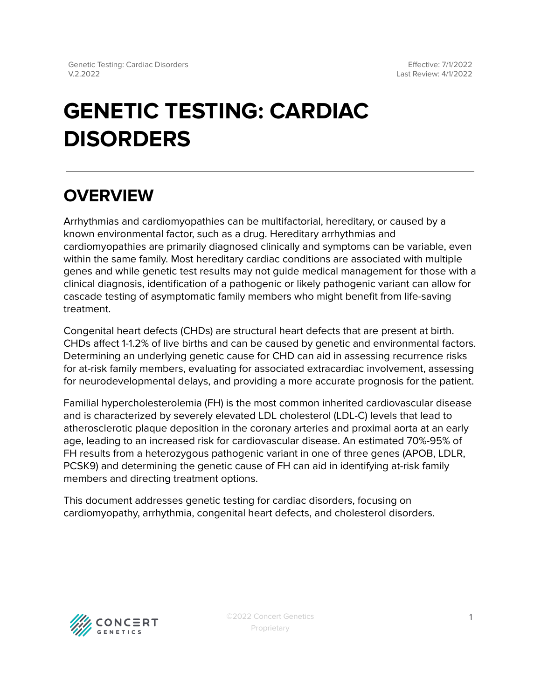# **GENETIC TESTING: CARDIAC DISORDERS**

# **OVERVIEW**

Arrhythmias and cardiomyopathies can be multifactorial, hereditary, or caused by a known environmental factor, such as a drug. Hereditary arrhythmias and cardiomyopathies are primarily diagnosed clinically and symptoms can be variable, even within the same family. Most hereditary cardiac conditions are associated with multiple genes and while genetic test results may not guide medical management for those with a clinical diagnosis, identification of a pathogenic or likely pathogenic variant can allow for cascade testing of asymptomatic family members who might benefit from life-saving treatment.

Congenital heart defects (CHDs) are structural heart defects that are present at birth. CHDs affect 1-1.2% of live births and can be caused by genetic and environmental factors. Determining an underlying genetic cause for CHD can aid in assessing recurrence risks for at-risk family members, evaluating for associated extracardiac involvement, assessing for neurodevelopmental delays, and providing a more accurate prognosis for the patient.

Familial hypercholesterolemia (FH) is the most common inherited cardiovascular disease and is characterized by severely elevated LDL cholesterol (LDL-C) levels that lead to atherosclerotic plaque deposition in the coronary arteries and proximal aorta at an early age, leading to an increased risk for cardiovascular disease. An estimated 70%-95% of FH results from a heterozygous pathogenic variant in one of three genes (APOB, LDLR, PCSK9) and determining the genetic cause of FH can aid in identifying at-risk family members and directing treatment options.

This document addresses genetic testing for cardiac disorders, focusing on cardiomyopathy, arrhythmia, congenital heart defects, and cholesterol disorders.

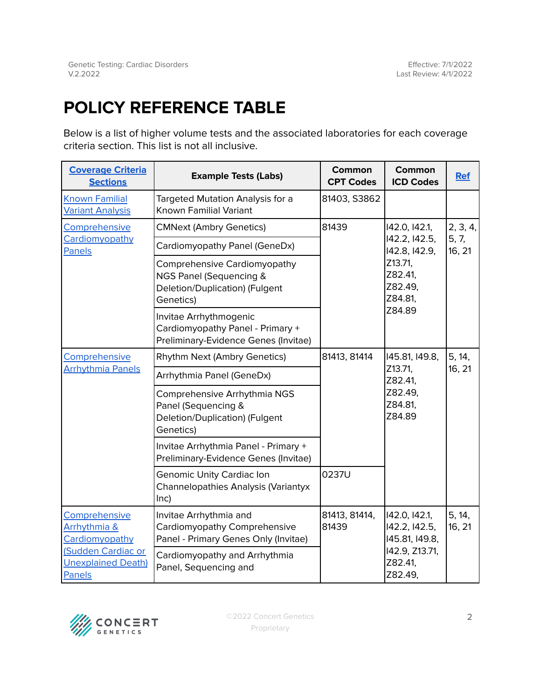# <span id="page-1-0"></span>**POLICY REFERENCE TABLE**

Below is a list of higher volume tests and the associated laboratories for each coverage criteria section. This list is not all inclusive.

| <b>Coverage Criteria</b><br><b>Sections</b>               | <b>Example Tests (Labs)</b>                                                                            | <b>Common</b><br><b>CPT Codes</b> | Common<br><b>ICD Codes</b>                                                                            | <b>Ref</b>                  |
|-----------------------------------------------------------|--------------------------------------------------------------------------------------------------------|-----------------------------------|-------------------------------------------------------------------------------------------------------|-----------------------------|
| <b>Known Familial</b><br><b>Variant Analysis</b>          | Targeted Mutation Analysis for a<br>Known Familial Variant                                             | 81403, S3862                      |                                                                                                       |                             |
| Comprehensive                                             | <b>CMNext (Ambry Genetics)</b>                                                                         | 81439                             | 142.0, 142.1,<br>142.2, 142.5,<br>142.8, 142.9,<br>Z13.71,<br>Z82.41,<br>Z82.49,<br>Z84.81,<br>Z84.89 | 2, 3, 4,<br>5, 7,<br>16, 21 |
| Cardiomyopathy<br>Panels                                  | Cardiomyopathy Panel (GeneDx)                                                                          |                                   |                                                                                                       |                             |
|                                                           | Comprehensive Cardiomyopathy<br>NGS Panel (Sequencing &<br>Deletion/Duplication) (Fulgent<br>Genetics) |                                   |                                                                                                       |                             |
|                                                           | Invitae Arrhythmogenic<br>Cardiomyopathy Panel - Primary +<br>Preliminary-Evidence Genes (Invitae)     |                                   |                                                                                                       |                             |
| Comprehensive                                             | Rhythm Next (Ambry Genetics)                                                                           | 81413, 81414                      | 145.81, 149.8,<br>Z13.71,<br>Z82.41,<br>Z82.49,<br>Z84.81,<br>Z84.89                                  | 5, 14,<br>16, 21            |
| <b>Arrhythmia Panels</b>                                  | Arrhythmia Panel (GeneDx)                                                                              |                                   |                                                                                                       |                             |
|                                                           | Comprehensive Arrhythmia NGS<br>Panel (Sequencing &<br>Deletion/Duplication) (Fulgent<br>Genetics)     |                                   |                                                                                                       |                             |
|                                                           | Invitae Arrhythmia Panel - Primary +<br>Preliminary-Evidence Genes (Invitae)                           |                                   |                                                                                                       |                             |
|                                                           | Genomic Unity Cardiac Ion<br>Channelopathies Analysis (Variantyx<br>lnc)                               | 0237U                             |                                                                                                       |                             |
| Comprehensive<br>Arrhythmia &<br>Cardiomyopathy           | Invitae Arrhythmia and<br>Cardiomyopathy Comprehensive<br>Panel - Primary Genes Only (Invitae)         | 81413, 81414,<br>81439            | 142.0, 142.1,<br>142.2, 142.5,<br>145.81, 149.8,<br>142.9, Z13.71,<br>Z82.41,<br>Z82.49,              | 5, 14,<br>16, 21            |
| (Sudden Cardiac or<br><b>Unexplained Death)</b><br>Panels | Cardiomyopathy and Arrhythmia<br>Panel, Sequencing and                                                 |                                   |                                                                                                       |                             |

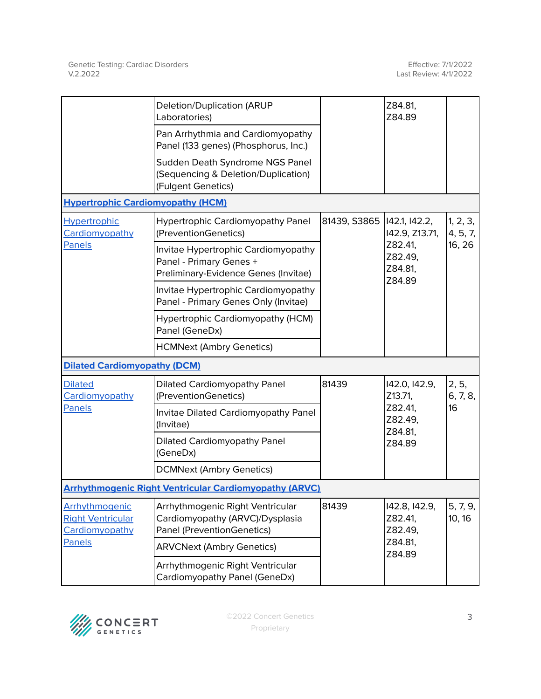|                                                                        | <b>Deletion/Duplication (ARUP</b><br>Laboratories)                                                     |                                                                   | Z84.81,<br>Z84.89                                                   |                      |
|------------------------------------------------------------------------|--------------------------------------------------------------------------------------------------------|-------------------------------------------------------------------|---------------------------------------------------------------------|----------------------|
|                                                                        | Pan Arrhythmia and Cardiomyopathy<br>Panel (133 genes) (Phosphorus, Inc.)                              |                                                                   |                                                                     |                      |
|                                                                        | Sudden Death Syndrome NGS Panel<br>(Sequencing & Deletion/Duplication)<br>(Fulgent Genetics)           |                                                                   |                                                                     |                      |
| <b>Hypertrophic Cardiomyopathy (HCM)</b>                               |                                                                                                        |                                                                   |                                                                     |                      |
| Hypertrophic<br>Cardiomyopathy<br>Panels                               | <b>Hypertrophic Cardiomyopathy Panel</b><br>(PreventionGenetics)                                       | 81439, S3865<br>Z82.41,<br>Z84.89                                 | 142.1, 142.2,<br>142.9, Z13.71,                                     | 1, 2, 3,<br>4, 5, 7, |
|                                                                        | Invitae Hypertrophic Cardiomyopathy<br>Panel - Primary Genes +<br>Preliminary-Evidence Genes (Invitae) |                                                                   | Z82.49,<br>Z84.81,                                                  | 16, 26               |
|                                                                        | Invitae Hypertrophic Cardiomyopathy<br>Panel - Primary Genes Only (Invitae)                            |                                                                   |                                                                     |                      |
|                                                                        | Hypertrophic Cardiomyopathy (HCM)<br>Panel (GeneDx)                                                    |                                                                   |                                                                     |                      |
|                                                                        | <b>HCMNext (Ambry Genetics)</b>                                                                        |                                                                   |                                                                     |                      |
| <b>Dilated Cardiomyopathy (DCM)</b>                                    |                                                                                                        |                                                                   |                                                                     |                      |
| <b>Dilated</b><br>Cardiomyopathy                                       | <b>Dilated Cardiomyopathy Panel</b><br>(PreventionGenetics)                                            | 81439                                                             | 142.0, 142.9,<br>Z13.71,<br>Z82.41,<br>Z82.49,<br>Z84.81,<br>Z84.89 | 2, 5,<br>6, 7, 8,    |
| <b>Panels</b>                                                          | Invitae Dilated Cardiomyopathy Panel<br>(Invitae)                                                      |                                                                   |                                                                     | 16                   |
|                                                                        | <b>Dilated Cardiomyopathy Panel</b><br>(GeneDx)                                                        |                                                                   |                                                                     |                      |
|                                                                        | <b>DCMNext (Ambry Genetics)</b>                                                                        |                                                                   |                                                                     |                      |
|                                                                        | <b>Arrhythmogenic Right Ventricular Cardiomyopathy (ARVC)</b>                                          |                                                                   |                                                                     |                      |
| Arrhythmogenic<br><b>Right Ventricular</b><br>Cardiomyopathy<br>Panels | Arrhythmogenic Right Ventricular<br>Cardiomyopathy (ARVC)/Dysplasia<br>Panel (PreventionGenetics)      | 81439<br>142.8, 142.9,<br>Z82.41,<br>Z82.49,<br>Z84.81,<br>Z84.89 | 5, 7, 9,<br>10, 16                                                  |                      |
|                                                                        | <b>ARVCNext (Ambry Genetics)</b>                                                                       |                                                                   |                                                                     |                      |
|                                                                        | Arrhythmogenic Right Ventricular<br>Cardiomyopathy Panel (GeneDx)                                      |                                                                   |                                                                     |                      |

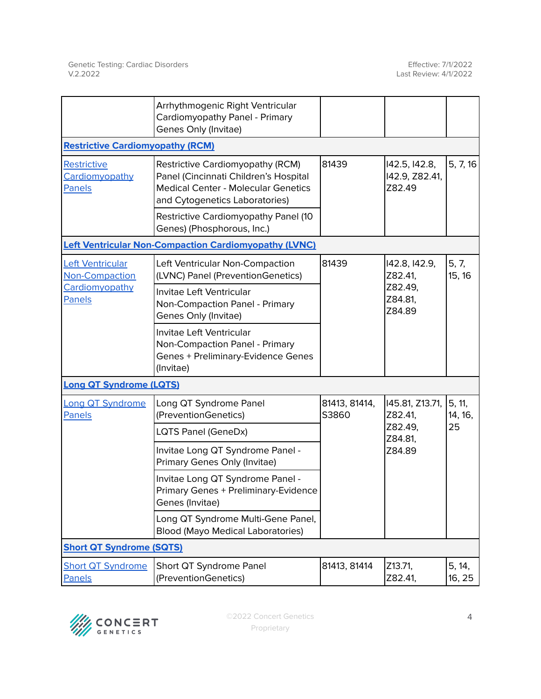|                                         | Arrhythmogenic Right Ventricular<br>Cardiomyopathy Panel - Primary<br>Genes Only (Invitae)                                                                |                        |                                           |                   |
|-----------------------------------------|-----------------------------------------------------------------------------------------------------------------------------------------------------------|------------------------|-------------------------------------------|-------------------|
| <b>Restrictive Cardiomyopathy (RCM)</b> |                                                                                                                                                           |                        |                                           |                   |
| Restrictive<br>Cardiomyopathy<br>Panels | Restrictive Cardiomyopathy (RCM)<br>Panel (Cincinnati Children's Hospital<br><b>Medical Center - Molecular Genetics</b><br>and Cytogenetics Laboratories) | 81439                  | 142.5, 142.8,<br>142.9, Z82.41,<br>Z82.49 | 5, 7, 16          |
|                                         | Restrictive Cardiomyopathy Panel (10<br>Genes) (Phosphorous, Inc.)                                                                                        |                        |                                           |                   |
|                                         | <b>Left Ventricular Non-Compaction Cardiomyopathy (LVNC)</b>                                                                                              |                        |                                           |                   |
| Left Ventricular<br>Non-Compaction      | Left Ventricular Non-Compaction<br>(LVNC) Panel (PreventionGenetics)                                                                                      | 81439                  | 142.8, 142.9,<br>Z82.41,                  | 5, 7,<br>15, 16   |
| Cardiomyopathy<br><b>Panels</b>         | Invitae Left Ventricular<br>Non-Compaction Panel - Primary<br>Genes Only (Invitae)                                                                        |                        | Z82.49,<br>Z84.81,<br>Z84.89              |                   |
|                                         | Invitae Left Ventricular<br>Non-Compaction Panel - Primary<br>Genes + Preliminary-Evidence Genes<br>(Invitae)                                             |                        |                                           |                   |
| <b>Long QT Syndrome (LQTS)</b>          |                                                                                                                                                           |                        |                                           |                   |
| <b>Long QT Syndrome</b><br>Panels       | Long QT Syndrome Panel<br>(PreventionGenetics)                                                                                                            | 81413, 81414,<br>S3860 | 145.81, Z13.71,<br>Z82.41,                | 5, 11,<br>14, 16, |
|                                         | LQTS Panel (GeneDx)                                                                                                                                       |                        | Z82.49,<br>Z84.81,                        | 25                |
|                                         | Invitae Long QT Syndrome Panel -<br>Primary Genes Only (Invitae)                                                                                          |                        | Z84.89                                    |                   |
|                                         | Invitae Long QT Syndrome Panel -<br>Primary Genes + Preliminary-Evidence<br>Genes (Invitae)                                                               |                        |                                           |                   |
|                                         | Long QT Syndrome Multi-Gene Panel,<br><b>Blood (Mayo Medical Laboratories)</b>                                                                            |                        |                                           |                   |
| <b>Short QT Syndrome (SQTS)</b>         |                                                                                                                                                           |                        |                                           |                   |
| <b>Short QT Syndrome</b><br>Panels      | Short QT Syndrome Panel<br>(PreventionGenetics)                                                                                                           | 81413, 81414           | Z13.71,<br>Z82.41,                        | 5, 14,<br>16, 25  |

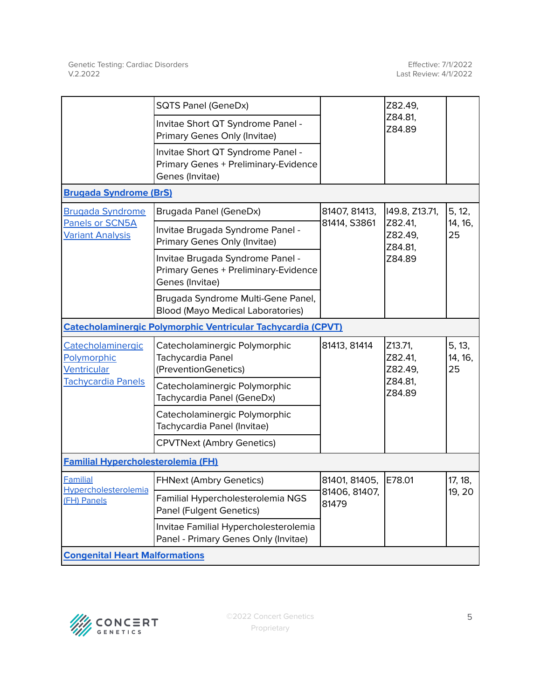|                                                        | <b>SQTS Panel (GeneDx)</b>                                                                   |                                                   | Z82.49,                       |                         |
|--------------------------------------------------------|----------------------------------------------------------------------------------------------|---------------------------------------------------|-------------------------------|-------------------------|
|                                                        | Invitae Short QT Syndrome Panel -<br>Primary Genes Only (Invitae)                            |                                                   | Z84.81,<br>Z84.89             |                         |
|                                                        | Invitae Short QT Syndrome Panel -<br>Primary Genes + Preliminary-Evidence<br>Genes (Invitae) |                                                   |                               |                         |
| <b>Brugada Syndrome (BrS)</b>                          |                                                                                              |                                                   |                               |                         |
| <b>Brugada Syndrome</b>                                | Brugada Panel (GeneDx)                                                                       | 81407, 81413,                                     | 149.8, Z13.71,                | 5, 12,                  |
| Panels or SCN5A<br><b>Variant Analysis</b>             | Invitae Brugada Syndrome Panel -<br>Primary Genes Only (Invitae)                             | 81414, S3861                                      | Z82.41,<br>Z82.49,<br>Z84.81, | 14, 16,<br>25           |
|                                                        | Invitae Brugada Syndrome Panel -<br>Primary Genes + Preliminary-Evidence<br>Genes (Invitae)  |                                                   | Z84.89                        |                         |
|                                                        | Brugada Syndrome Multi-Gene Panel,<br><b>Blood (Mayo Medical Laboratories)</b>               |                                                   |                               |                         |
|                                                        | <b>Catecholaminergic Polymorphic Ventricular Tachycardia (CPVT)</b>                          |                                                   |                               |                         |
| Catecholaminergic<br>Polymorphic<br>Ventricular        | Catecholaminergic Polymorphic<br>Tachycardia Panel<br>(PreventionGenetics)                   | 81413, 81414                                      | Z13.71,<br>Z82.41,<br>Z82.49, | 5, 13,<br>14, 16,<br>25 |
| <b>Tachycardia Panels</b>                              | Catecholaminergic Polymorphic<br>Tachycardia Panel (GeneDx)                                  |                                                   | Z84.81,<br>Z84.89             |                         |
|                                                        | Catecholaminergic Polymorphic<br>Tachycardia Panel (Invitae)                                 |                                                   |                               |                         |
|                                                        | <b>CPVTNext (Ambry Genetics)</b>                                                             |                                                   |                               |                         |
| <b>Familial Hypercholesterolemia (FH)</b>              |                                                                                              |                                                   |                               |                         |
| <b>Familial</b><br>Hypercholesterolemia<br>(FH) Panels | <b>FHNext (Ambry Genetics)</b>                                                               | 81401, 81405,<br>E78.01<br>81406, 81407,<br>81479 | 17, 18,                       |                         |
|                                                        | Familial Hypercholesterolemia NGS<br>Panel (Fulgent Genetics)                                |                                                   |                               | 19.20                   |
|                                                        | Invitae Familial Hypercholesterolemia<br>Panel - Primary Genes Only (Invitae)                |                                                   |                               |                         |
| <b>Congenital Heart Malformations</b>                  |                                                                                              |                                                   |                               |                         |

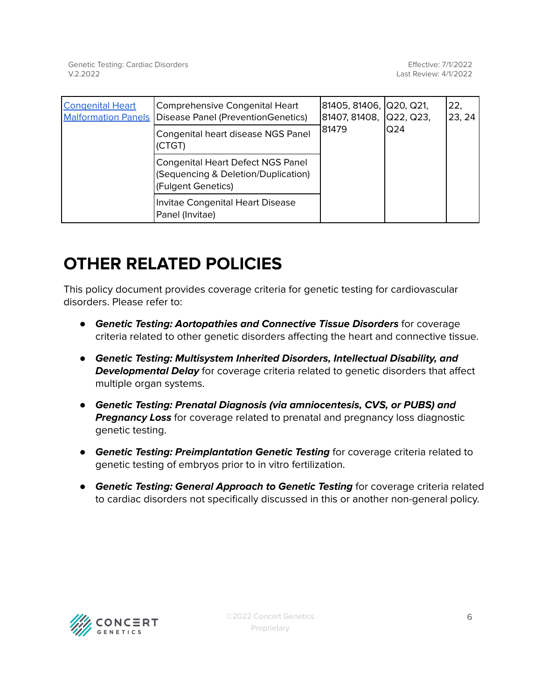| <b>Congenital Heart</b><br><b>Malformation Panels</b> | Comprehensive Congenital Heart<br>Disease Panel (PreventionGenetics)                                  | 81405, 81406, Q20, Q21,<br>81407, 81408, Q22, Q23,<br>81479 | Q24 | 22.<br>23, 24 |
|-------------------------------------------------------|-------------------------------------------------------------------------------------------------------|-------------------------------------------------------------|-----|---------------|
|                                                       | Congenital heart disease NGS Panel<br>(CTGT)                                                          |                                                             |     |               |
|                                                       | <b>Congenital Heart Defect NGS Panel</b><br>(Sequencing & Deletion/Duplication)<br>(Fulgent Genetics) |                                                             |     |               |
|                                                       | Invitae Congenital Heart Disease<br>Panel (Invitae)                                                   |                                                             |     |               |

# **OTHER RELATED POLICIES**

This policy document provides coverage criteria for genetic testing for cardiovascular disorders. Please refer to:

- **Genetic Testing: Aortopathies and Connective Tissue Disorders** for coverage criteria related to other genetic disorders affecting the heart and connective tissue.
- **Genetic Testing: Multisystem Inherited Disorders, Intellectual Disability, and Developmental Delay** for coverage criteria related to genetic disorders that affect multiple organ systems.
- **Genetic Testing: Prenatal Diagnosis (via amniocentesis, CVS, or PUBS) and Pregnancy Loss** for coverage related to prenatal and pregnancy loss diagnostic genetic testing.
- **Genetic Testing: Preimplantation Genetic Testing** for coverage criteria related to genetic testing of embryos prior to in vitro fertilization.
- **Genetic Testing: General Approach to Genetic Testing** for coverage criteria related to cardiac disorders not specifically discussed in this or another non-general policy.

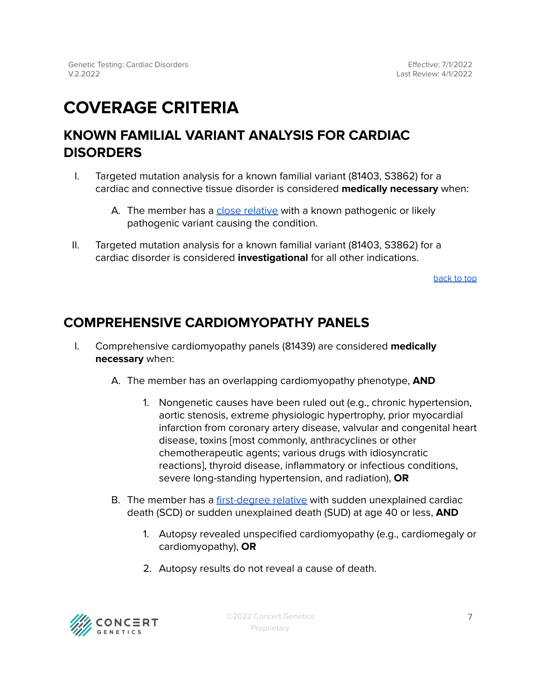# <span id="page-6-0"></span>**COVERAGE CRITERIA**

# <span id="page-6-1"></span>**KNOWN FAMILIAL VARIANT ANALYSIS FOR CARDIAC DISORDERS**

- I. Targeted mutation analysis for a known familial variant (81403, S3862) for a cardiac and connective tissue disorder is considered **medically necessary** when:
	- A. The member has a close [relative](#page-15-2) with a known pathogenic or likely pathogenic variant causing the condition.
- II. Targeted mutation analysis for a known familial variant (81403, S3862) for a cardiac disorder is considered **investigational** for all other indications.

[back](#page-1-0) to top

# <span id="page-6-2"></span>**COMPREHENSIVE CARDIOMYOPATHY PANELS**

- I. Comprehensive cardiomyopathy panels (81439) are considered **medically necessary** when:
	- A. The member has an overlapping cardiomyopathy phenotype, **AND**
		- 1. Nongenetic causes have been ruled out (e.g., chronic hypertension, aortic stenosis, extreme physiologic hypertrophy, prior myocardial infarction from coronary artery disease, valvular and congenital heart disease, toxins [most commonly, anthracyclines or other chemotherapeutic agents; various drugs with idiosyncratic reactions], thyroid disease, inflammatory or infectious conditions, severe long-standing hypertension, and radiation), **OR**
	- B. The member has a [first-degree](#page-15-2) relative with sudden unexplained cardiac death (SCD) or sudden unexplained death (SUD) at age 40 or less, **AND**
		- 1. Autopsy revealed unspecified cardiomyopathy (e.g., cardiomegaly or cardiomyopathy), **OR**
		- 2. Autopsy results do not reveal a cause of death.

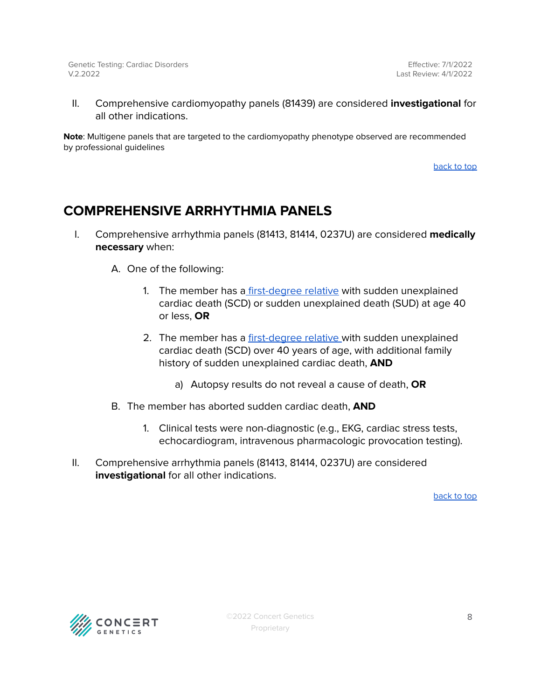II. Comprehensive cardiomyopathy panels (81439) are considered **investigational** for all other indications.

**Note**: Multigene panels that are targeted to the cardiomyopathy phenotype observed are recommended by professional guidelines

[back](#page-1-0) to top

# <span id="page-7-0"></span>**COMPREHENSIVE ARRHYTHMIA PANELS**

I. Comprehensive arrhythmia panels (81413, 81414, 0237U) are considered **medically necessary** when:

A. One of the following:

- 1. The member has a [first-degree](#page-15-2) relative with sudden unexplained cardiac death (SCD) or sudden unexplained death (SUD) at age 40 or less, **OR**
- 2. The member has a [first-degree](#page-15-2) relative with sudden unexplained cardiac death (SCD) over 40 years of age, with additional family history of sudden unexplained cardiac death, **AND**
	- a) Autopsy results do not reveal a cause of death, **OR**
- B. The member has aborted sudden cardiac death, **AND**
	- 1. Clinical tests were non-diagnostic (e.g., EKG, cardiac stress tests, echocardiogram, intravenous pharmacologic provocation testing).
- II. Comprehensive arrhythmia panels (81413, 81414, 0237U) are considered **investigational** for all other indications.

[back](#page-1-0) to top

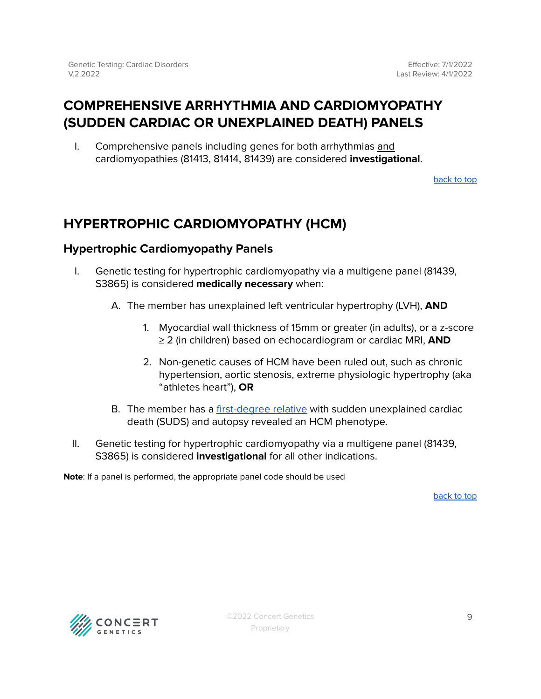# <span id="page-8-0"></span>**COMPREHENSIVE ARRHYTHMIA AND CARDIOMYOPATHY (SUDDEN CARDIAC OR UNEXPLAINED DEATH) PANELS**

I. Comprehensive panels including genes for both arrhythmias and cardiomyopathies (81413, 81414, 81439) are considered **investigational**.

[back](#page-1-0) to top

# <span id="page-8-1"></span>**HYPERTROPHIC CARDIOMYOPATHY (HCM)**

# <span id="page-8-2"></span>**Hypertrophic Cardiomyopathy Panels**

- I. Genetic testing for hypertrophic cardiomyopathy via a multigene panel (81439, S3865) is considered **medically necessary** when:
	- A. The member has unexplained left ventricular hypertrophy (LVH), **AND**
		- 1. Myocardial wall thickness of 15mm or greater (in adults), or a z-score ≥ 2 (in children) based on echocardiogram or cardiac MRI, **AND**
		- 2. Non-genetic causes of HCM have been ruled out, such as chronic hypertension, aortic stenosis, extreme physiologic hypertrophy (aka "athletes heart"), **OR**
	- B. The member has a [first-degree](#page-15-2) relative with sudden unexplained cardiac death (SUDS) and autopsy revealed an HCM phenotype.
- II. Genetic testing for hypertrophic cardiomyopathy via a multigene panel (81439, S3865) is considered **investigational** for all other indications.

**Note**: If a panel is performed, the appropriate panel code should be used

[back](#page-1-0) to top

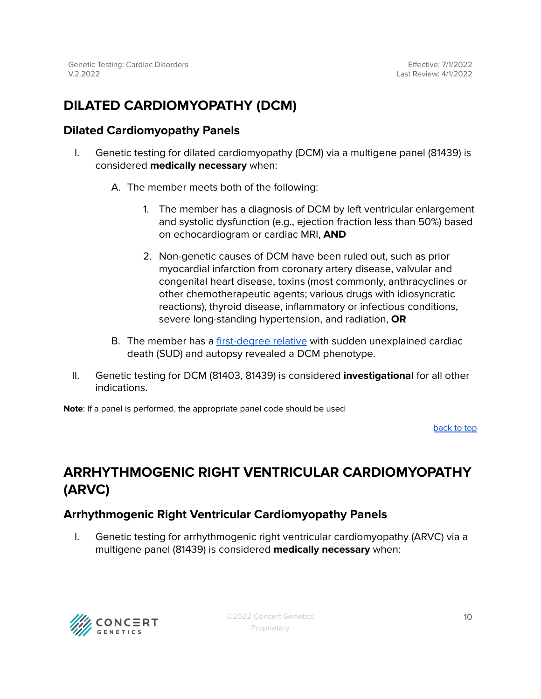# <span id="page-9-0"></span>**DILATED CARDIOMYOPATHY (DCM)**

# <span id="page-9-1"></span>**Dilated Cardiomyopathy Panels**

- I. Genetic testing for dilated cardiomyopathy (DCM) via a multigene panel (81439) is considered **medically necessary** when:
	- A. The member meets both of the following:
		- 1. The member has a diagnosis of DCM by left ventricular enlargement and systolic dysfunction (e.g., ejection fraction less than 50%) based on echocardiogram or cardiac MRI, **AND**
		- 2. Non-genetic causes of DCM have been ruled out, such as prior myocardial infarction from coronary artery disease, valvular and congenital heart disease, toxins (most commonly, anthracyclines or other chemotherapeutic agents; various drugs with idiosyncratic reactions), thyroid disease, inflammatory or infectious conditions, severe long-standing hypertension, and radiation, **OR**
	- B. The member has a [first-degree](#page-15-2) relative with sudden unexplained cardiac death (SUD) and autopsy revealed a DCM phenotype.
- II. Genetic testing for DCM (81403, 81439) is considered **investigational** for all other indications.

**Note**: If a panel is performed, the appropriate panel code should be used

[back](#page-1-0) to top

# <span id="page-9-2"></span>**ARRHYTHMOGENIC RIGHT VENTRICULAR CARDIOMYOPATHY (ARVC)**

# <span id="page-9-3"></span>**Arrhythmogenic Right Ventricular Cardiomyopathy Panels**

I. Genetic testing for arrhythmogenic right ventricular cardiomyopathy (ARVC) via a multigene panel (81439) is considered **medically necessary** when:

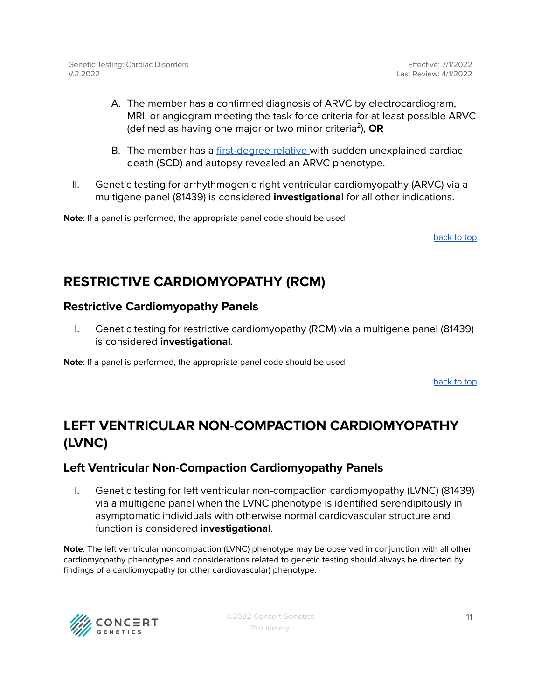Effective: 7/1/2022 Last Review: 4/1/2022

- A. The member has a confirmed diagnosis of ARVC by electrocardiogram, MRI, or angiogram meeting the task force criteria for at least possible ARVC (defined as having one major or two minor criteria 2 ), **OR**
- B. The member has a [first-degree](#page-15-2) relative with sudden unexplained cardiac death (SCD) and autopsy revealed an ARVC phenotype.
- II. Genetic testing for arrhythmogenic right ventricular cardiomyopathy (ARVC) via a multigene panel (81439) is considered **investigational** for all other indications.

**Note**: If a panel is performed, the appropriate panel code should be used

[back](#page-1-0) to top

# <span id="page-10-0"></span>**RESTRICTIVE CARDIOMYOPATHY (RCM)**

### <span id="page-10-1"></span>**Restrictive Cardiomyopathy Panels**

I. Genetic testing for restrictive cardiomyopathy (RCM) via a multigene panel (81439) is considered **investigational**.

**Note**: If a panel is performed, the appropriate panel code should be used

[back](#page-1-0) to top

# <span id="page-10-2"></span>**LEFT VENTRICULAR NON-COMPACTION CARDIOMYOPATHY (LVNC)**

# <span id="page-10-3"></span>**Left Ventricular Non-Compaction Cardiomyopathy Panels**

I. Genetic testing for left ventricular non-compaction cardiomyopathy (LVNC) (81439) via a multigene panel when the LVNC phenotype is identified serendipitously in asymptomatic individuals with otherwise normal cardiovascular structure and function is considered **investigational**.

**Note**: The left ventricular noncompaction (LVNC) phenotype may be observed in conjunction with all other cardiomyopathy phenotypes and considerations related to genetic testing should always be directed by findings of a cardiomyopathy (or other cardiovascular) phenotype.

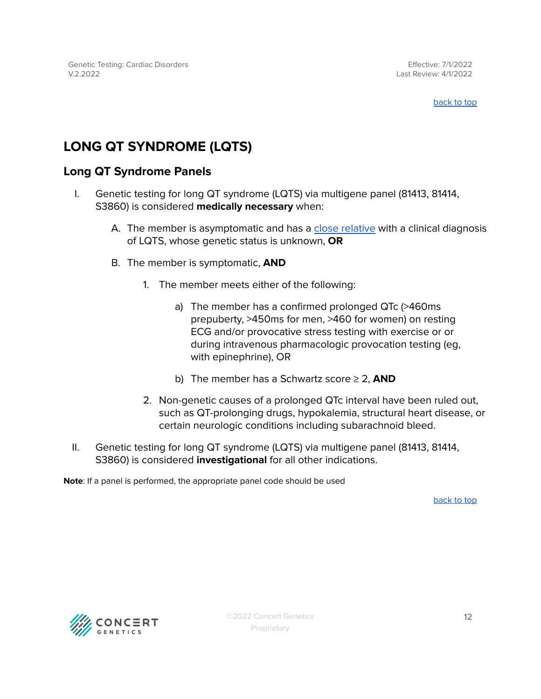#### [back](#page-1-0) to top

# <span id="page-11-0"></span>**LONG QT SYNDROME (LQTS)**

# <span id="page-11-1"></span>**Long QT Syndrome Panels**

- I. Genetic testing for long QT syndrome (LQTS) via multigene panel (81413, 81414, S3860) is considered **medically necessary** when:
	- A. The member is asymptomatic and has a close [relative](#page-15-2) with a clinical diagnosis of LQTS, whose genetic status is unknown, **OR**
	- B. The member is symptomatic, **AND**
		- 1. The member meets either of the following:
			- a) The member has a confirmed prolonged QTc (>460ms prepuberty, >450ms for men, >460 for women) on resting ECG and/or provocative stress testing with exercise or or during intravenous pharmacologic provocation testing (eg, with epinephrine), OR
			- b) The member has a Schwartz score ≥ 2, **AND**
		- 2. Non-genetic causes of a prolonged QTc interval have been ruled out, such as QT-prolonging drugs, hypokalemia, structural heart disease, or certain neurologic conditions including subarachnoid bleed.
- II. Genetic testing for long QT syndrome (LQTS) via multigene panel (81413, 81414, S3860) is considered **investigational** for all other indications.

**Note**: If a panel is performed, the appropriate panel code should be used

[back](#page-1-0) to top

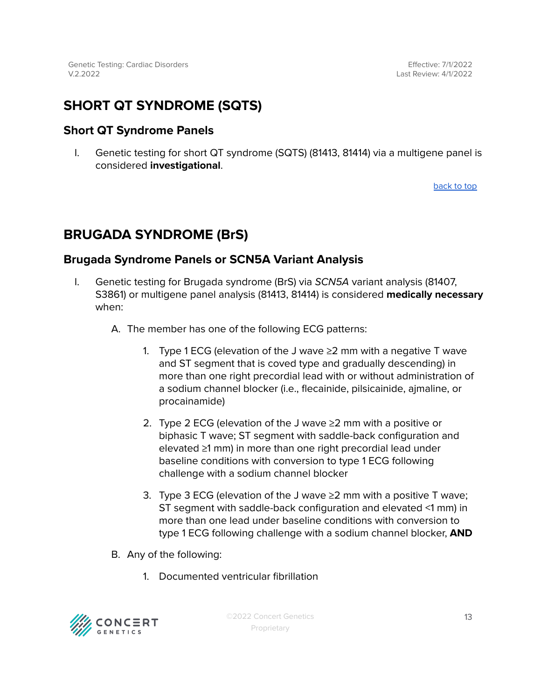# <span id="page-12-0"></span>**SHORT QT SYNDROME (SQTS)**

# <span id="page-12-1"></span>**Short QT Syndrome Panels**

I. Genetic testing for short QT syndrome (SQTS) (81413, 81414) via a multigene panel is considered **investigational**.

[back](#page-1-0) to top

# <span id="page-12-2"></span>**BRUGADA SYNDROME (BrS)**

# <span id="page-12-3"></span>**Brugada Syndrome Panels or SCN5A Variant Analysis**

- I. Genetic testing for Brugada syndrome (BrS) via SCN5A variant analysis (81407, S3861) or multigene panel analysis (81413, 81414) is considered **medically necessary** when:
	- A. The member has one of the following ECG patterns:
		- 1. Type 1 ECG (elevation of the J wave  $\geq$  2 mm with a negative T wave and ST segment that is coved type and gradually descending) in more than one right precordial lead with or without administration of a sodium channel blocker (i.e., flecainide, pilsicainide, ajmaline, or procainamide)
		- 2. Type 2 ECG (elevation of the J wave ≥2 mm with a positive or biphasic T wave; ST segment with saddle-back configuration and elevated ≥1 mm) in more than one right precordial lead under baseline conditions with conversion to type 1 ECG following challenge with a sodium channel blocker
		- 3. Type 3 ECG (elevation of the J wave  $\geq$  2 mm with a positive T wave; ST segment with saddle-back configuration and elevated <1 mm) in more than one lead under baseline conditions with conversion to type 1 ECG following challenge with a sodium channel blocker, **AND**
	- B. Any of the following:
		- 1. Documented ventricular fibrillation

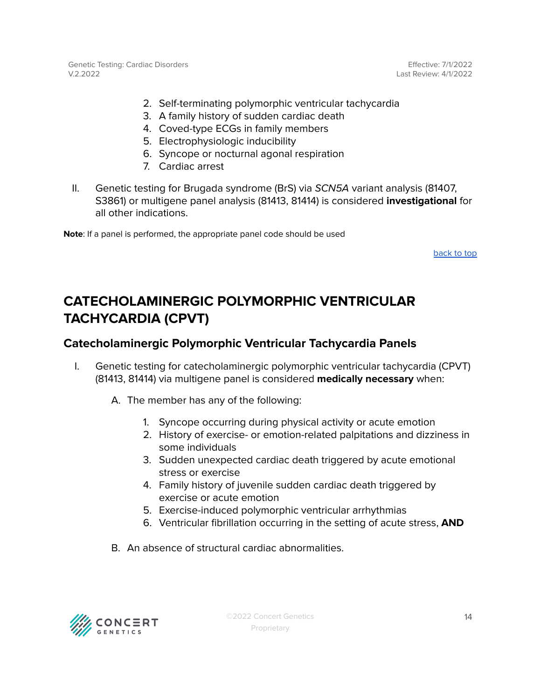Effective: 7/1/2022 Last Review: 4/1/2022

- 2. Self-terminating polymorphic ventricular tachycardia
- 3. A family history of sudden cardiac death
- 4. Coved-type ECGs in family members
- 5. Electrophysiologic inducibility
- 6. Syncope or nocturnal agonal respiration
- 7. Cardiac arrest
- II. Genetic testing for Brugada syndrome (BrS) via SCN5A variant analysis (81407, S3861) or multigene panel analysis (81413, 81414) is considered **investigational** for all other indications.

**Note**: If a panel is performed, the appropriate panel code should be used

[back](#page-1-0) to top

# <span id="page-13-0"></span>**CATECHOLAMINERGIC POLYMORPHIC VENTRICULAR TACHYCARDIA (CPVT)**

# <span id="page-13-1"></span>**Catecholaminergic Polymorphic Ventricular Tachycardia Panels**

- I. Genetic testing for catecholaminergic polymorphic ventricular tachycardia (CPVT) (81413, 81414) via multigene panel is considered **medically necessary** when:
	- A. The member has any of the following:
		- 1. Syncope occurring during physical activity or acute emotion
		- 2. History of exercise- or emotion-related palpitations and dizziness in some individuals
		- 3. Sudden unexpected cardiac death triggered by acute emotional stress or exercise
		- 4. Family history of juvenile sudden cardiac death triggered by exercise or acute emotion
		- 5. Exercise-induced polymorphic ventricular arrhythmias
		- 6. Ventricular fibrillation occurring in the setting of acute stress, **AND**
	- B. An absence of structural cardiac abnormalities.

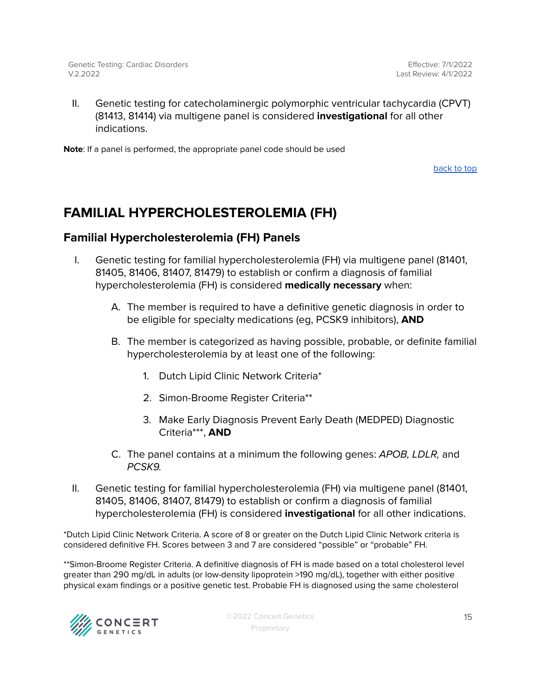II. Genetic testing for catecholaminergic polymorphic ventricular tachycardia (CPVT) (81413, 81414) via multigene panel is considered **investigational** for all other indications.

**Note**: If a panel is performed, the appropriate panel code should be used

[back](#page-1-0) to top

# <span id="page-14-0"></span>**FAMILIAL HYPERCHOLESTEROLEMIA (FH)**

# <span id="page-14-1"></span>**Familial Hypercholesterolemia (FH) Panels**

- I. Genetic testing for familial hypercholesterolemia (FH) via multigene panel (81401, 81405, 81406, 81407, 81479) to establish or confirm a diagnosis of familial hypercholesterolemia (FH) is considered **medically necessary** when:
	- A. The member is required to have a definitive genetic diagnosis in order to be eligible for specialty medications (eg, PCSK9 inhibitors), **AND**
	- B. The member is categorized as having possible, probable, or definite familial hypercholesterolemia by at least one of the following:
		- 1. Dutch Lipid Clinic Network Criteria\*
		- 2. Simon-Broome Register Criteria\*\*
		- 3. Make Early Diagnosis Prevent Early Death (MEDPED) Diagnostic Criteria\*\*\*, **AND**
	- C. The panel contains at a minimum the following genes: APOB, LDLR, and PCSK9.
- II. Genetic testing for familial hypercholesterolemia (FH) via multigene panel (81401, 81405, 81406, 81407, 81479) to establish or confirm a diagnosis of familial hypercholesterolemia (FH) is considered **investigational** for all other indications.

\*Dutch Lipid Clinic Network Criteria. A score of 8 or greater on the Dutch Lipid Clinic Network criteria is considered definitive FH. Scores between 3 and 7 are considered "possible" or "probable" FH.

\*\*Simon-Broome Register Criteria. A definitive diagnosis of FH is made based on a total cholesterol level greater than 290 mg/dL in adults (or low-density lipoprotein >190 mg/dL), together with either positive physical exam findings or a positive genetic test. Probable FH is diagnosed using the same cholesterol

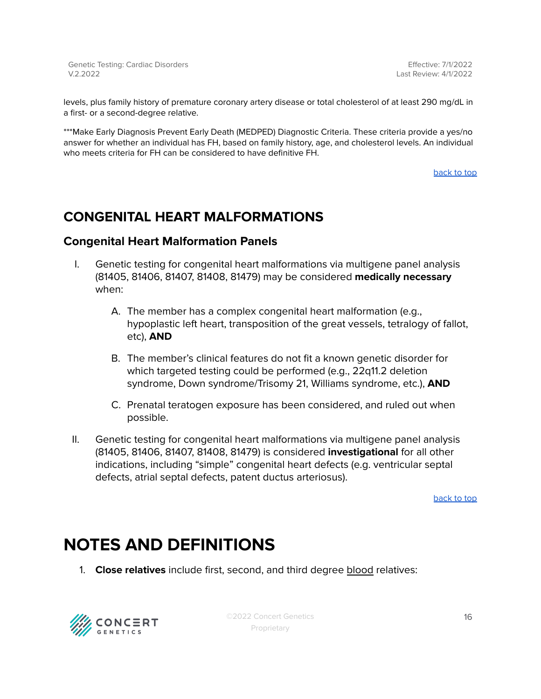levels, plus family history of premature coronary artery disease or total cholesterol of at least 290 mg/dL in a first- or a second-degree relative.

\*\*\*Make Early Diagnosis Prevent Early Death (MEDPED) Diagnostic Criteria. These criteria provide a yes/no answer for whether an individual has FH, based on family history, age, and cholesterol levels. An individual who meets criteria for FH can be considered to have definitive FH.

[back](#page-1-0) to top

# <span id="page-15-0"></span>**CONGENITAL HEART MALFORMATIONS**

## <span id="page-15-1"></span>**Congenital Heart Malformation Panels**

- I. Genetic testing for congenital heart malformations via multigene panel analysis (81405, 81406, 81407, 81408, 81479) may be considered **medically necessary** when:
	- A. The member has a complex congenital heart malformation (e.g., hypoplastic left heart, transposition of the great vessels, tetralogy of fallot, etc), **AND**
	- B. The member's clinical features do not fit a known genetic disorder for which targeted testing could be performed (e.g., 22q11.2 deletion syndrome, Down syndrome/Trisomy 21, Williams syndrome, etc.), **AND**
	- C. Prenatal teratogen exposure has been considered, and ruled out when possible.
- II. Genetic testing for congenital heart malformations via multigene panel analysis (81405, 81406, 81407, 81408, 81479) is considered **investigational** for all other indications, including "simple" congenital heart defects (e.g. ventricular septal defects, atrial septal defects, patent ductus arteriosus).

[back](#page-1-0) to top

# <span id="page-15-2"></span>**NOTES AND DEFINITIONS**

1. **Close relatives** include first, second, and third degree blood relatives:

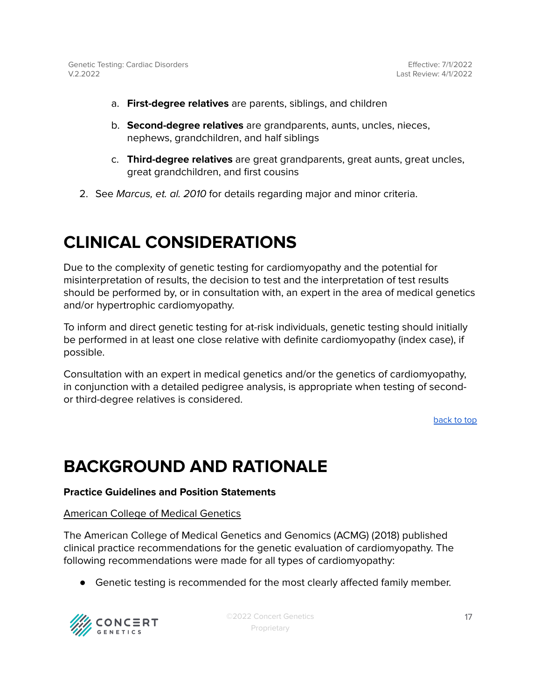- a. **First-degree relatives** are parents, siblings, and children
- b. **Second-degree relatives** are grandparents, aunts, uncles, nieces, nephews, grandchildren, and half siblings
- c. **Third-degree relatives** are great grandparents, great aunts, great uncles, great grandchildren, and first cousins
- 2. See Marcus, et. al. 2010 for details regarding major and minor criteria.

# **CLINICAL CONSIDERATIONS**

Due to the complexity of genetic testing for cardiomyopathy and the potential for misinterpretation of results, the decision to test and the interpretation of test results should be performed by, or in consultation with, an expert in the area of medical genetics and/or hypertrophic cardiomyopathy.

To inform and direct genetic testing for at-risk individuals, genetic testing should initially be performed in at least one close relative with definite cardiomyopathy (index case), if possible.

Consultation with an expert in medical genetics and/or the genetics of cardiomyopathy, in conjunction with a detailed pedigree analysis, is appropriate when testing of secondor third-degree relatives is considered.

[back](#page-1-0) to top

# **BACKGROUND AND RATIONALE**

#### **Practice Guidelines and Position Statements**

#### American College of Medical Genetics

The American College of Medical Genetics and Genomics (ACMG) (2018) published clinical practice recommendations for the genetic evaluation of cardiomyopathy. The following recommendations were made for all types of cardiomyopathy:

● Genetic testing is recommended for the most clearly affected family member.

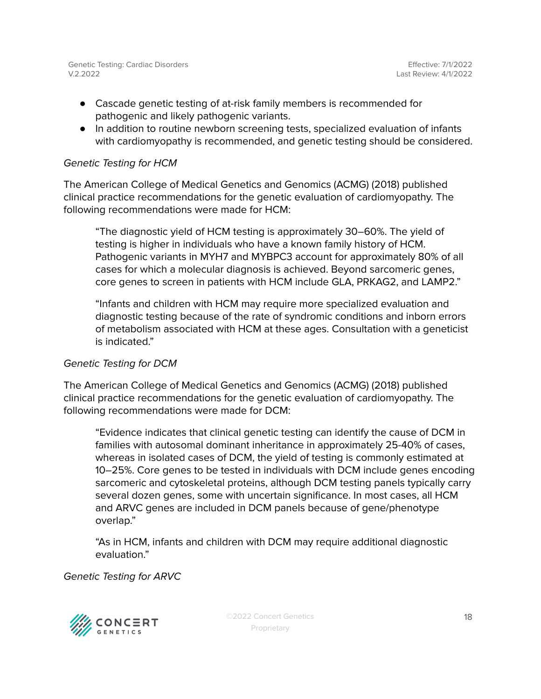- Cascade genetic testing of at-risk family members is recommended for pathogenic and likely pathogenic variants.
- In addition to routine newborn screening tests, specialized evaluation of infants with cardiomyopathy is recommended, and genetic testing should be considered.

#### Genetic Testing for HCM

The American College of Medical Genetics and Genomics (ACMG) (2018) published clinical practice recommendations for the genetic evaluation of cardiomyopathy. The following recommendations were made for HCM:

"The diagnostic yield of HCM testing is approximately 30–60%. The yield of testing is higher in individuals who have a known family history of HCM. Pathogenic variants in MYH7 and MYBPC3 account for approximately 80% of all cases for which a molecular diagnosis is achieved. Beyond sarcomeric genes, core genes to screen in patients with HCM include GLA, PRKAG2, and LAMP2."

"Infants and children with HCM may require more specialized evaluation and diagnostic testing because of the rate of syndromic conditions and inborn errors of metabolism associated with HCM at these ages. Consultation with a geneticist is indicated."

#### Genetic Testing for DCM

The American College of Medical Genetics and Genomics (ACMG) (2018) published clinical practice recommendations for the genetic evaluation of cardiomyopathy. The following recommendations were made for DCM:

"Evidence indicates that clinical genetic testing can identify the cause of DCM in families with autosomal dominant inheritance in approximately 25-40% of cases, whereas in isolated cases of DCM, the yield of testing is commonly estimated at 10–25%. Core genes to be tested in individuals with DCM include genes encoding sarcomeric and cytoskeletal proteins, although DCM testing panels typically carry several dozen genes, some with uncertain significance. In most cases, all HCM and ARVC genes are included in DCM panels because of gene/phenotype overlap."

"As in HCM, infants and children with DCM may require additional diagnostic evaluation."

Genetic Testing for ARVC

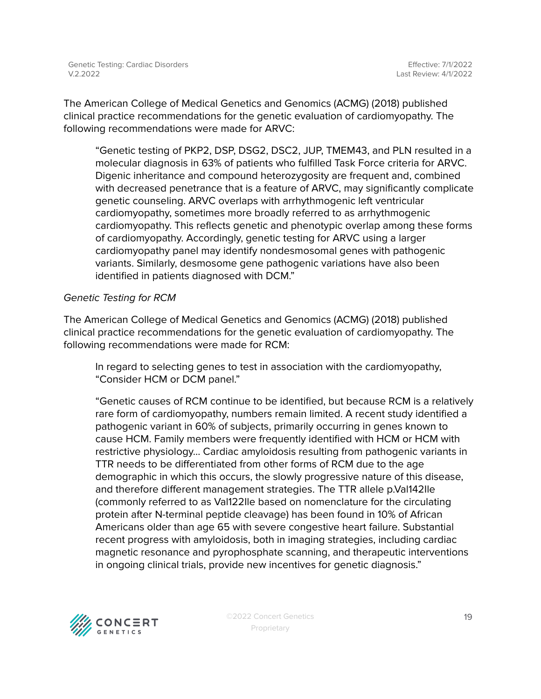The American College of Medical Genetics and Genomics (ACMG) (2018) published clinical practice recommendations for the genetic evaluation of cardiomyopathy. The following recommendations were made for ARVC:

"Genetic testing of PKP2, DSP, DSG2, DSC2, JUP, TMEM43, and PLN resulted in a molecular diagnosis in 63% of patients who fulfilled Task Force criteria for ARVC. Digenic inheritance and compound heterozygosity are frequent and, combined with decreased penetrance that is a feature of ARVC, may significantly complicate genetic counseling. ARVC overlaps with arrhythmogenic left ventricular cardiomyopathy, sometimes more broadly referred to as arrhythmogenic cardiomyopathy. This reflects genetic and phenotypic overlap among these forms of cardiomyopathy. Accordingly, genetic testing for ARVC using a larger cardiomyopathy panel may identify nondesmosomal genes with pathogenic variants. Similarly, desmosome gene pathogenic variations have also been identified in patients diagnosed with DCM."

#### Genetic Testing for RCM

The American College of Medical Genetics and Genomics (ACMG) (2018) published clinical practice recommendations for the genetic evaluation of cardiomyopathy. The following recommendations were made for RCM:

In regard to selecting genes to test in association with the cardiomyopathy, "Consider HCM or DCM panel."

"Genetic causes of RCM continue to be identified, but because RCM is a relatively rare form of cardiomyopathy, numbers remain limited. A recent study identified a pathogenic variant in 60% of subjects, primarily occurring in genes known to cause HCM. Family members were frequently identified with HCM or HCM with restrictive physiology… Cardiac amyloidosis resulting from pathogenic variants in TTR needs to be differentiated from other forms of RCM due to the age demographic in which this occurs, the slowly progressive nature of this disease, and therefore different management strategies. The TTR allele p.Val142Ile (commonly referred to as Val122Ile based on nomenclature for the circulating protein after N-terminal peptide cleavage) has been found in 10% of African Americans older than age 65 with severe congestive heart failure. Substantial recent progress with amyloidosis, both in imaging strategies, including cardiac magnetic resonance and pyrophosphate scanning, and therapeutic interventions in ongoing clinical trials, provide new incentives for genetic diagnosis."

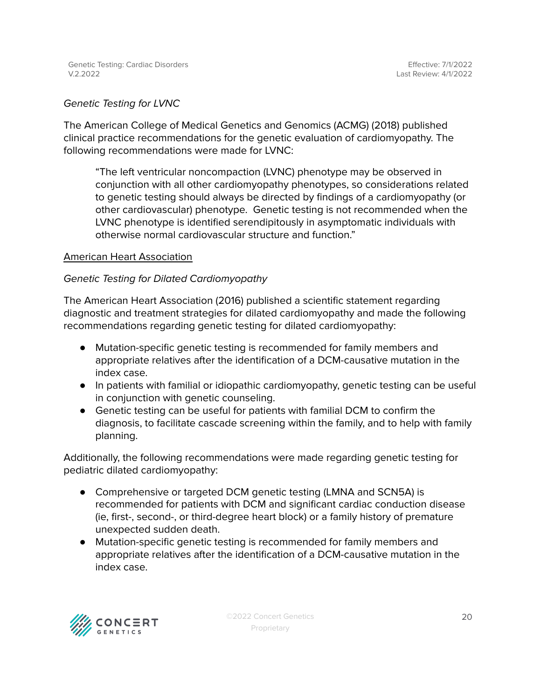#### Genetic Testing for LVNC

The American College of Medical Genetics and Genomics (ACMG) (2018) published clinical practice recommendations for the genetic evaluation of cardiomyopathy. The following recommendations were made for LVNC:

"The left ventricular noncompaction (LVNC) phenotype may be observed in conjunction with all other cardiomyopathy phenotypes, so considerations related to genetic testing should always be directed by findings of a cardiomyopathy (or other cardiovascular) phenotype. Genetic testing is not recommended when the LVNC phenotype is identified serendipitously in asymptomatic individuals with otherwise normal cardiovascular structure and function."

#### American Heart Association

#### Genetic Testing for Dilated Cardiomyopathy

The American Heart Association (2016) published a scientific statement regarding diagnostic and treatment strategies for dilated cardiomyopathy and made the following recommendations regarding genetic testing for dilated cardiomyopathy:

- Mutation-specific genetic testing is recommended for family members and appropriate relatives after the identification of a DCM-causative mutation in the index case.
- In patients with familial or idiopathic cardiomyopathy, genetic testing can be useful in conjunction with genetic counseling.
- Genetic testing can be useful for patients with familial DCM to confirm the diagnosis, to facilitate cascade screening within the family, and to help with family planning.

Additionally, the following recommendations were made regarding genetic testing for pediatric dilated cardiomyopathy:

- Comprehensive or targeted DCM genetic testing (LMNA and SCN5A) is recommended for patients with DCM and significant cardiac conduction disease (ie, first-, second-, or third-degree heart block) or a family history of premature unexpected sudden death.
- Mutation-specific genetic testing is recommended for family members and appropriate relatives after the identification of a DCM-causative mutation in the index case.

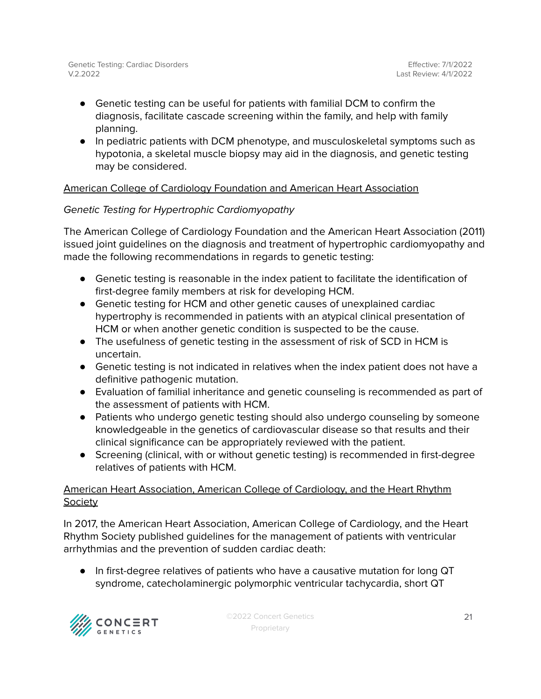- Genetic testing can be useful for patients with familial DCM to confirm the diagnosis, facilitate cascade screening within the family, and help with family planning.
- In pediatric patients with DCM phenotype, and musculoskeletal symptoms such as hypotonia, a skeletal muscle biopsy may aid in the diagnosis, and genetic testing may be considered.

# American College of Cardiology Foundation and American Heart Association

## Genetic Testing for Hypertrophic Cardiomyopathy

The American College of Cardiology Foundation and the American Heart Association (2011) issued joint guidelines on the diagnosis and treatment of hypertrophic cardiomyopathy and made the following recommendations in regards to genetic testing:

- Genetic testing is reasonable in the index patient to facilitate the identification of first-degree family members at risk for developing HCM.
- Genetic testing for HCM and other genetic causes of unexplained cardiac hypertrophy is recommended in patients with an atypical clinical presentation of HCM or when another genetic condition is suspected to be the cause.
- The usefulness of genetic testing in the assessment of risk of SCD in HCM is uncertain.
- Genetic testing is not indicated in relatives when the index patient does not have a definitive pathogenic mutation.
- Evaluation of familial inheritance and genetic counseling is recommended as part of the assessment of patients with HCM.
- Patients who undergo genetic testing should also undergo counseling by someone knowledgeable in the genetics of cardiovascular disease so that results and their clinical significance can be appropriately reviewed with the patient.
- Screening (clinical, with or without genetic testing) is recommended in first-degree relatives of patients with HCM.

## American Heart Association, American College of Cardiology, and the Heart Rhythm Society

In 2017, the American Heart Association, American College of Cardiology, and the Heart Rhythm Society published guidelines for the management of patients with ventricular arrhythmias and the prevention of sudden cardiac death:

● In first-degree relatives of patients who have a causative mutation for long QT syndrome, catecholaminergic polymorphic ventricular tachycardia, short QT

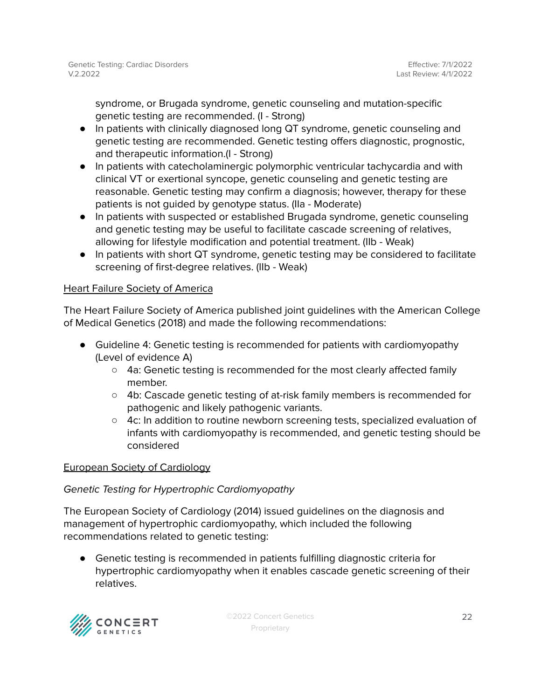syndrome, or Brugada syndrome, genetic counseling and mutation-specific genetic testing are recommended. (I - Strong)

- In patients with clinically diagnosed long QT syndrome, genetic counseling and genetic testing are recommended. Genetic testing offers diagnostic, prognostic, and therapeutic information.(I - Strong)
- In patients with catecholaminergic polymorphic ventricular tachycardia and with clinical VT or exertional syncope, genetic counseling and genetic testing are reasonable. Genetic testing may confirm a diagnosis; however, therapy for these patients is not guided by genotype status. (IIa - Moderate)
- In patients with suspected or established Brugada syndrome, genetic counseling and genetic testing may be useful to facilitate cascade screening of relatives, allowing for lifestyle modification and potential treatment. (IIb - Weak)
- In patients with short QT syndrome, genetic testing may be considered to facilitate screening of first-degree relatives. (IIb - Weak)

## Heart Failure Society of America

The Heart Failure Society of America published joint guidelines with the American College of Medical Genetics (2018) and made the following recommendations:

- Guideline 4: Genetic testing is recommended for patients with cardiomyopathy (Level of evidence A)
	- $\circ$  4a: Genetic testing is recommended for the most clearly affected family member.
	- 4b: Cascade genetic testing of at-risk family members is recommended for pathogenic and likely pathogenic variants.
	- 4c: In addition to routine newborn screening tests, specialized evaluation of infants with cardiomyopathy is recommended, and genetic testing should be considered

### European Society of Cardiology

### Genetic Testing for Hypertrophic Cardiomyopathy

The European Society of Cardiology (2014) issued guidelines on the diagnosis and management of hypertrophic cardiomyopathy, which included the following recommendations related to genetic testing:

● Genetic testing is recommended in patients fulfilling diagnostic criteria for hypertrophic cardiomyopathy when it enables cascade genetic screening of their relatives.

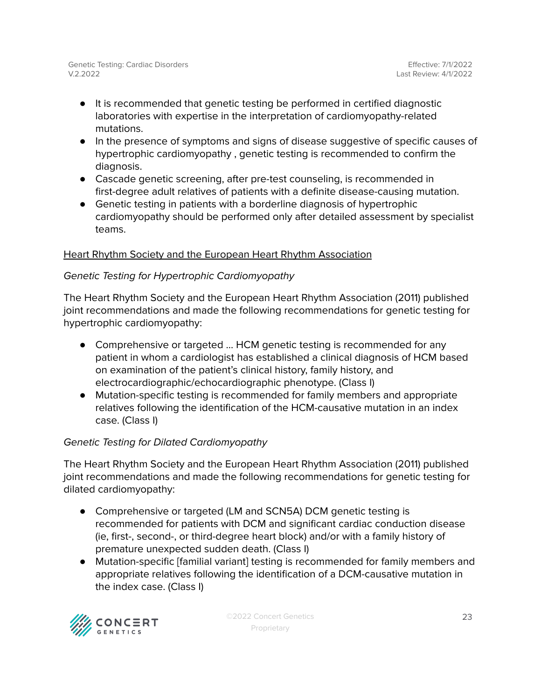- It is recommended that genetic testing be performed in certified diagnostic laboratories with expertise in the interpretation of cardiomyopathy-related mutations.
- In the presence of symptoms and signs of disease suggestive of specific causes of hypertrophic cardiomyopathy , genetic testing is recommended to confirm the diagnosis.
- Cascade genetic screening, after pre-test counseling, is recommended in first-degree adult relatives of patients with a definite disease-causing mutation.
- Genetic testing in patients with a borderline diagnosis of hypertrophic cardiomyopathy should be performed only after detailed assessment by specialist teams.

## Heart Rhythm Society and the European Heart Rhythm Association

### Genetic Testing for Hypertrophic Cardiomyopathy

The Heart Rhythm Society and the European Heart Rhythm Association (2011) published joint recommendations and made the following recommendations for genetic testing for hypertrophic cardiomyopathy:

- Comprehensive or targeted ... HCM genetic testing is recommended for any patient in whom a cardiologist has established a clinical diagnosis of HCM based on examination of the patient's clinical history, family history, and electrocardiographic/echocardiographic phenotype. (Class I)
- Mutation-specific testing is recommended for family members and appropriate relatives following the identification of the HCM-causative mutation in an index case. (Class I)

### Genetic Testing for Dilated Cardiomyopathy

The Heart Rhythm Society and the European Heart Rhythm Association (2011) published joint recommendations and made the following recommendations for genetic testing for dilated cardiomyopathy:

- Comprehensive or targeted (LM and SCN5A) DCM genetic testing is recommended for patients with DCM and significant cardiac conduction disease (ie, first-, second-, or third-degree heart block) and/or with a family history of premature unexpected sudden death. (Class I)
- Mutation-specific [familial variant] testing is recommended for family members and appropriate relatives following the identification of a DCM-causative mutation in the index case. (Class I)

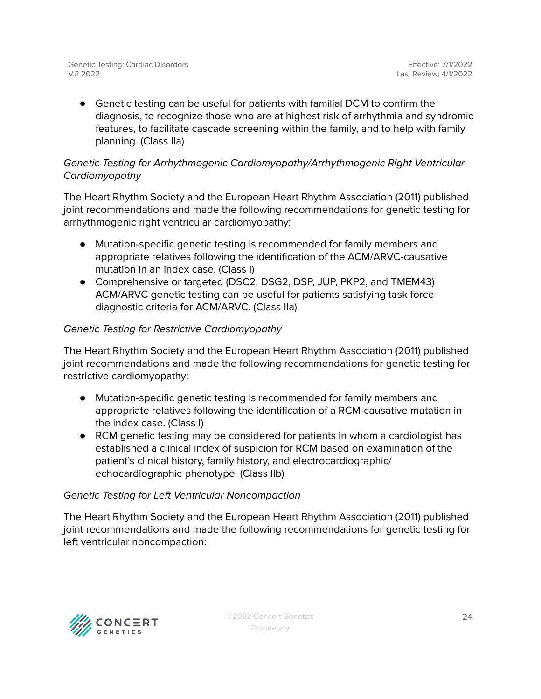● Genetic testing can be useful for patients with familial DCM to confirm the diagnosis, to recognize those who are at highest risk of arrhythmia and syndromic features, to facilitate cascade screening within the family, and to help with family planning. (Class IIa)

## Genetic Testing for Arrhythmogenic Cardiomyopathy/Arrhythmogenic Right Ventricular Cardiomyopathy

The Heart Rhythm Society and the European Heart Rhythm Association (2011) published joint recommendations and made the following recommendations for genetic testing for arrhythmogenic right ventricular cardiomyopathy:

- Mutation-specific genetic testing is recommended for family members and appropriate relatives following the identification of the ACM/ARVC-causative mutation in an index case. (Class I)
- Comprehensive or targeted (DSC2, DSG2, DSP, JUP, PKP2, and TMEM43) ACM/ARVC genetic testing can be useful for patients satisfying task force diagnostic criteria for ACM/ARVC. (Class IIa)

## Genetic Testing for Restrictive Cardiomyopathy

The Heart Rhythm Society and the European Heart Rhythm Association (2011) published joint recommendations and made the following recommendations for genetic testing for restrictive cardiomyopathy:

- Mutation-specific genetic testing is recommended for family members and appropriate relatives following the identification of a RCM-causative mutation in the index case. (Class I)
- RCM genetic testing may be considered for patients in whom a cardiologist has established a clinical index of suspicion for RCM based on examination of the patient's clinical history, family history, and electrocardiographic/ echocardiographic phenotype. (Class IIb)

### Genetic Testing for Left Ventricular Noncompaction

The Heart Rhythm Society and the European Heart Rhythm Association (2011) published joint recommendations and made the following recommendations for genetic testing for left ventricular noncompaction:

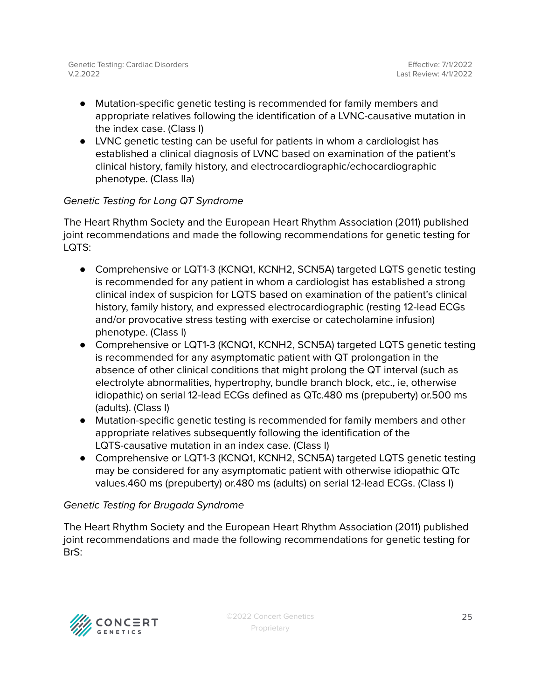- Mutation-specific genetic testing is recommended for family members and appropriate relatives following the identification of a LVNC-causative mutation in the index case. (Class I)
- LVNC genetic testing can be useful for patients in whom a cardiologist has established a clinical diagnosis of LVNC based on examination of the patient's clinical history, family history, and electrocardiographic/echocardiographic phenotype. (Class IIa)

## Genetic Testing for Long QT Syndrome

The Heart Rhythm Society and the European Heart Rhythm Association (2011) published joint recommendations and made the following recommendations for genetic testing for LQTS:

- Comprehensive or LQT1-3 (KCNQ1, KCNH2, SCN5A) targeted LQTS genetic testing is recommended for any patient in whom a cardiologist has established a strong clinical index of suspicion for LQTS based on examination of the patient's clinical history, family history, and expressed electrocardiographic (resting 12-lead ECGs and/or provocative stress testing with exercise or catecholamine infusion) phenotype. (Class I)
- Comprehensive or LQT1-3 (KCNQ1, KCNH2, SCN5A) targeted LQTS genetic testing is recommended for any asymptomatic patient with QT prolongation in the absence of other clinical conditions that might prolong the QT interval (such as electrolyte abnormalities, hypertrophy, bundle branch block, etc., ie, otherwise idiopathic) on serial 12-lead ECGs defined as QTc.480 ms (prepuberty) or.500 ms (adults). (Class I)
- Mutation-specific genetic testing is recommended for family members and other appropriate relatives subsequently following the identification of the LQTS-causative mutation in an index case. (Class I)
- Comprehensive or LQT1-3 (KCNQ1, KCNH2, SCN5A) targeted LQTS genetic testing may be considered for any asymptomatic patient with otherwise idiopathic QTc values.460 ms (prepuberty) or.480 ms (adults) on serial 12-lead ECGs. (Class I)

# Genetic Testing for Brugada Syndrome

The Heart Rhythm Society and the European Heart Rhythm Association (2011) published joint recommendations and made the following recommendations for genetic testing for BrS:

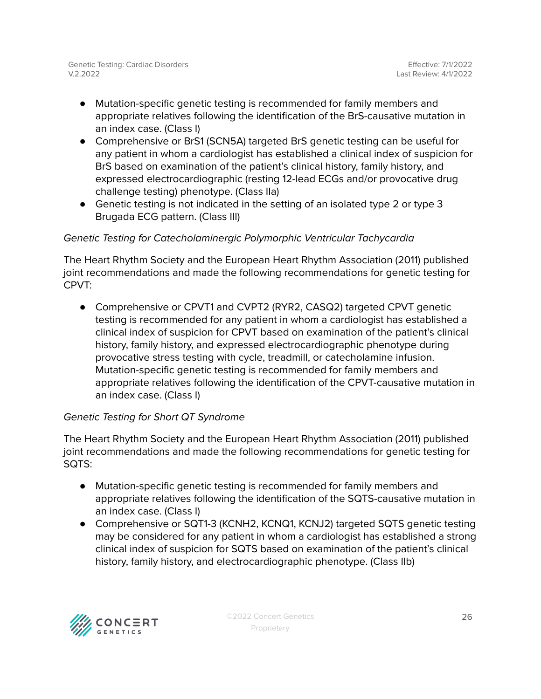- Mutation-specific genetic testing is recommended for family members and appropriate relatives following the identification of the BrS-causative mutation in an index case. (Class I)
- Comprehensive or BrS1 (SCN5A) targeted BrS genetic testing can be useful for any patient in whom a cardiologist has established a clinical index of suspicion for BrS based on examination of the patient's clinical history, family history, and expressed electrocardiographic (resting 12-lead ECGs and/or provocative drug challenge testing) phenotype. (Class IIa)
- Genetic testing is not indicated in the setting of an isolated type 2 or type 3 Brugada ECG pattern. (Class III)

## Genetic Testing for Catecholaminergic Polymorphic Ventricular Tachycardia

The Heart Rhythm Society and the European Heart Rhythm Association (2011) published joint recommendations and made the following recommendations for genetic testing for CPVT:

● Comprehensive or CPVT1 and CVPT2 (RYR2, CASQ2) targeted CPVT genetic testing is recommended for any patient in whom a cardiologist has established a clinical index of suspicion for CPVT based on examination of the patient's clinical history, family history, and expressed electrocardiographic phenotype during provocative stress testing with cycle, treadmill, or catecholamine infusion. Mutation-specific genetic testing is recommended for family members and appropriate relatives following the identification of the CPVT-causative mutation in an index case. (Class I)

### Genetic Testing for Short QT Syndrome

The Heart Rhythm Society and the European Heart Rhythm Association (2011) published joint recommendations and made the following recommendations for genetic testing for SQTS:

- Mutation-specific genetic testing is recommended for family members and appropriate relatives following the identification of the SQTS-causative mutation in an index case. (Class I)
- Comprehensive or SQT1-3 (KCNH2, KCNQ1, KCNJ2) targeted SQTS genetic testing may be considered for any patient in whom a cardiologist has established a strong clinical index of suspicion for SQTS based on examination of the patient's clinical history, family history, and electrocardiographic phenotype. (Class IIb)

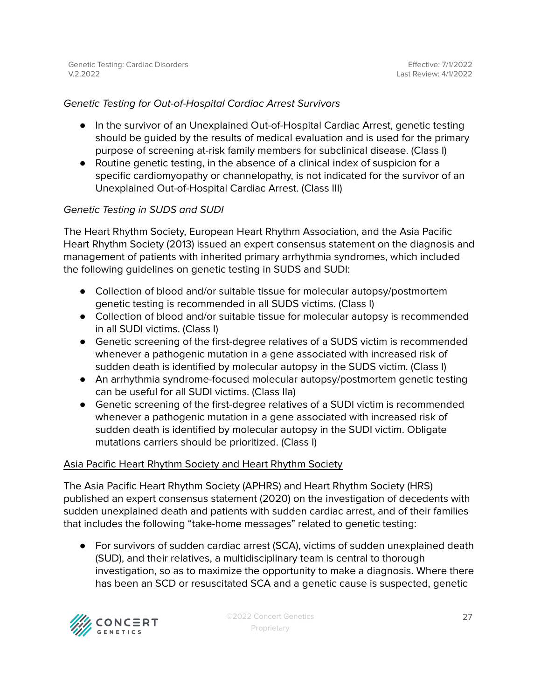#### Genetic Testing for Out-of-Hospital Cardiac Arrest Survivors

- In the survivor of an Unexplained Out-of-Hospital Cardiac Arrest, genetic testing should be guided by the results of medical evaluation and is used for the primary purpose of screening at-risk family members for subclinical disease. (Class I)
- Routine genetic testing, in the absence of a clinical index of suspicion for a specific cardiomyopathy or channelopathy, is not indicated for the survivor of an Unexplained Out-of-Hospital Cardiac Arrest. (Class III)

#### Genetic Testing in SUDS and SUDI

The Heart Rhythm Society, European Heart Rhythm Association, and the Asia Pacific Heart Rhythm Society (2013) issued an expert consensus statement on the diagnosis and management of patients with inherited primary arrhythmia syndromes, which included the following guidelines on genetic testing in SUDS and SUDI:

- Collection of blood and/or suitable tissue for molecular autopsy/postmortem genetic testing is recommended in all SUDS victims. (Class I)
- Collection of blood and/or suitable tissue for molecular autopsy is recommended in all SUDI victims. (Class I)
- Genetic screening of the first-degree relatives of a SUDS victim is recommended whenever a pathogenic mutation in a gene associated with increased risk of sudden death is identified by molecular autopsy in the SUDS victim. (Class I)
- An arrhythmia syndrome-focused molecular autopsy/postmortem genetic testing can be useful for all SUDI victims. (Class IIa)
- Genetic screening of the first-degree relatives of a SUDI victim is recommended whenever a pathogenic mutation in a gene associated with increased risk of sudden death is identified by molecular autopsy in the SUDI victim. Obligate mutations carriers should be prioritized. (Class I)

#### Asia Pacific Heart Rhythm Society and Heart Rhythm Society

The Asia Pacific Heart Rhythm Society (APHRS) and Heart Rhythm Society (HRS) published an expert consensus statement (2020) on the investigation of decedents with sudden unexplained death and patients with sudden cardiac arrest, and of their families that includes the following "take-home messages" related to genetic testing:

● For survivors of sudden cardiac arrest (SCA), victims of sudden unexplained death (SUD), and their relatives, a multidisciplinary team is central to thorough investigation, so as to maximize the opportunity to make a diagnosis. Where there has been an SCD or resuscitated SCA and a genetic cause is suspected, genetic

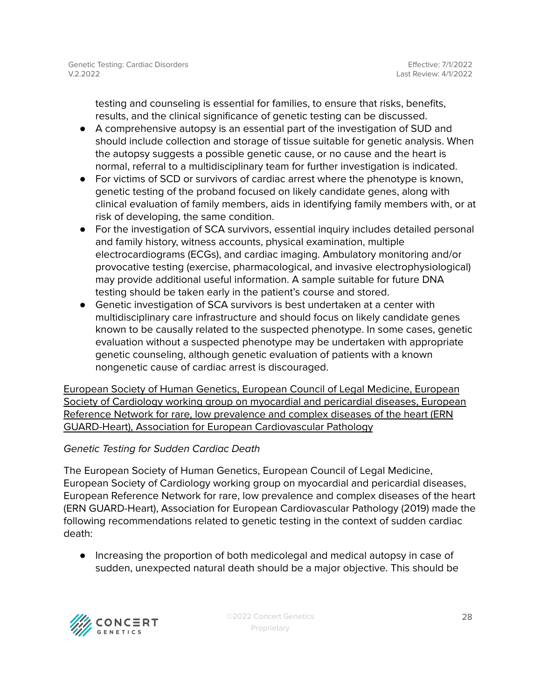testing and counseling is essential for families, to ensure that risks, benefits, results, and the clinical significance of genetic testing can be discussed.

- A comprehensive autopsy is an essential part of the investigation of SUD and should include collection and storage of tissue suitable for genetic analysis. When the autopsy suggests a possible genetic cause, or no cause and the heart is normal, referral to a multidisciplinary team for further investigation is indicated.
- For victims of SCD or survivors of cardiac arrest where the phenotype is known, genetic testing of the proband focused on likely candidate genes, along with clinical evaluation of family members, aids in identifying family members with, or at risk of developing, the same condition.
- For the investigation of SCA survivors, essential inquiry includes detailed personal and family history, witness accounts, physical examination, multiple electrocardiograms (ECGs), and cardiac imaging. Ambulatory monitoring and/or provocative testing (exercise, pharmacological, and invasive electrophysiological) may provide additional useful information. A sample suitable for future DNA testing should be taken early in the patient's course and stored.
- Genetic investigation of SCA survivors is best undertaken at a center with multidisciplinary care infrastructure and should focus on likely candidate genes known to be causally related to the suspected phenotype. In some cases, genetic evaluation without a suspected phenotype may be undertaken with appropriate genetic counseling, although genetic evaluation of patients with a known nongenetic cause of cardiac arrest is discouraged.

European Society of Human Genetics, European Council of Legal Medicine, European Society of Cardiology working group on myocardial and pericardial diseases, European Reference Network for rare, low prevalence and complex diseases of the heart (ERN GUARD-Heart), Association for European Cardiovascular Pathology

### Genetic Testing for Sudden Cardiac Death

The European Society of Human Genetics, European Council of Legal Medicine, European Society of Cardiology working group on myocardial and pericardial diseases, European Reference Network for rare, low prevalence and complex diseases of the heart (ERN GUARD-Heart), Association for European Cardiovascular Pathology (2019) made the following recommendations related to genetic testing in the context of sudden cardiac death:

● Increasing the proportion of both medicolegal and medical autopsy in case of sudden, unexpected natural death should be a major objective. This should be

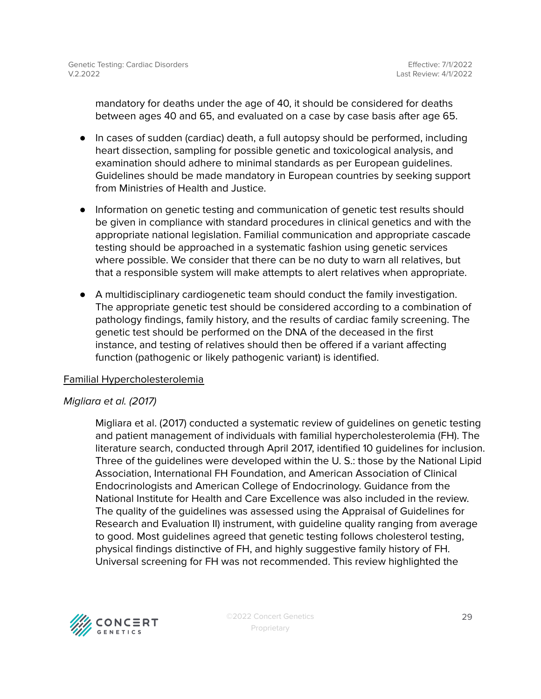mandatory for deaths under the age of 40, it should be considered for deaths between ages 40 and 65, and evaluated on a case by case basis after age 65.

- In cases of sudden (cardiac) death, a full autopsy should be performed, including heart dissection, sampling for possible genetic and toxicological analysis, and examination should adhere to minimal standards as per European guidelines. Guidelines should be made mandatory in European countries by seeking support from Ministries of Health and Justice.
- Information on genetic testing and communication of genetic test results should be given in compliance with standard procedures in clinical genetics and with the appropriate national legislation. Familial communication and appropriate cascade testing should be approached in a systematic fashion using genetic services where possible. We consider that there can be no duty to warn all relatives, but that a responsible system will make attempts to alert relatives when appropriate.
- A multidisciplinary cardiogenetic team should conduct the family investigation. The appropriate genetic test should be considered according to a combination of pathology findings, family history, and the results of cardiac family screening. The genetic test should be performed on the DNA of the deceased in the first instance, and testing of relatives should then be offered if a variant affecting function (pathogenic or likely pathogenic variant) is identified.

#### Familial Hypercholesterolemia

#### Migliara et al. (2017)

Migliara et al. (2017) conducted a systematic review of guidelines on genetic testing and patient management of individuals with familial hypercholesterolemia (FH). The literature search, conducted through April 2017, identified 10 guidelines for inclusion. Three of the guidelines were developed within the U. S.: those by the National Lipid Association, International FH Foundation, and American Association of Clinical Endocrinologists and American College of Endocrinology. Guidance from the National Institute for Health and Care Excellence was also included in the review. The quality of the guidelines was assessed using the Appraisal of Guidelines for Research and Evaluation II) instrument, with guideline quality ranging from average to good. Most guidelines agreed that genetic testing follows cholesterol testing, physical findings distinctive of FH, and highly suggestive family history of FH. Universal screening for FH was not recommended. This review highlighted the

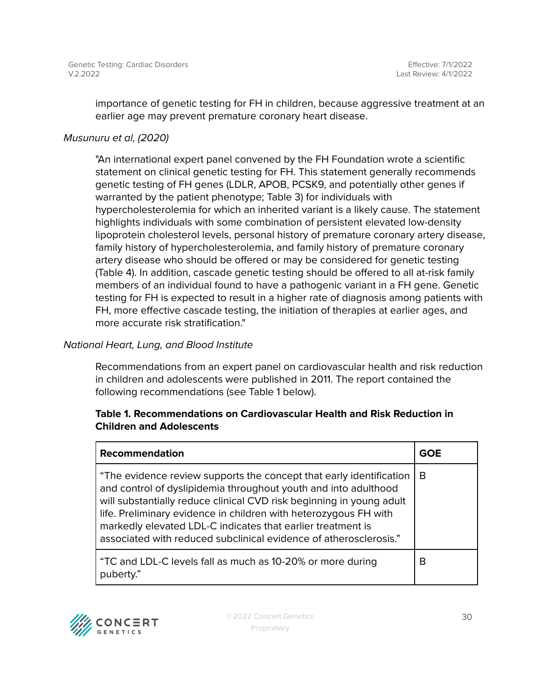importance of genetic testing for FH in children, because aggressive treatment at an earlier age may prevent premature coronary heart disease.

### Musunuru et al, (2020)

"An international expert panel convened by the FH Foundation wrote a scientific statement on clinical genetic testing for FH. This statement generally recommends genetic testing of FH genes (LDLR, APOB, PCSK9, and potentially other genes if warranted by the patient phenotype; Table 3) for individuals with hypercholesterolemia for which an inherited variant is a likely cause. The statement highlights individuals with some combination of persistent elevated low-density lipoprotein cholesterol levels, personal history of premature coronary artery disease, family history of hypercholesterolemia, and family history of premature coronary artery disease who should be offered or may be considered for genetic testing (Table 4). In addition, cascade genetic testing should be offered to all at-risk family members of an individual found to have a pathogenic variant in a FH gene. Genetic testing for FH is expected to result in a higher rate of diagnosis among patients with FH, more effective cascade testing, the initiation of therapies at earlier ages, and more accurate risk stratification."

### National Heart, Lung, and Blood Institute

Recommendations from an expert panel on cardiovascular health and risk reduction in children and adolescents were published in 2011. The report contained the following recommendations (see Table 1 below).

### **Table 1. Recommendations on Cardiovascular Health and Risk Reduction in Children and Adolescents**

| Recommendation                                                                                                                                                                                                                                                                                                                                                                                                         | <b>GOE</b> |
|------------------------------------------------------------------------------------------------------------------------------------------------------------------------------------------------------------------------------------------------------------------------------------------------------------------------------------------------------------------------------------------------------------------------|------------|
| "The evidence review supports the concept that early identification<br>and control of dyslipidemia throughout youth and into adulthood<br>will substantially reduce clinical CVD risk beginning in young adult<br>life. Preliminary evidence in children with heterozygous FH with<br>markedly elevated LDL-C indicates that earlier treatment is<br>associated with reduced subclinical evidence of atherosclerosis." | B          |
| "TC and LDL-C levels fall as much as 10-20% or more during<br>puberty."                                                                                                                                                                                                                                                                                                                                                | В          |

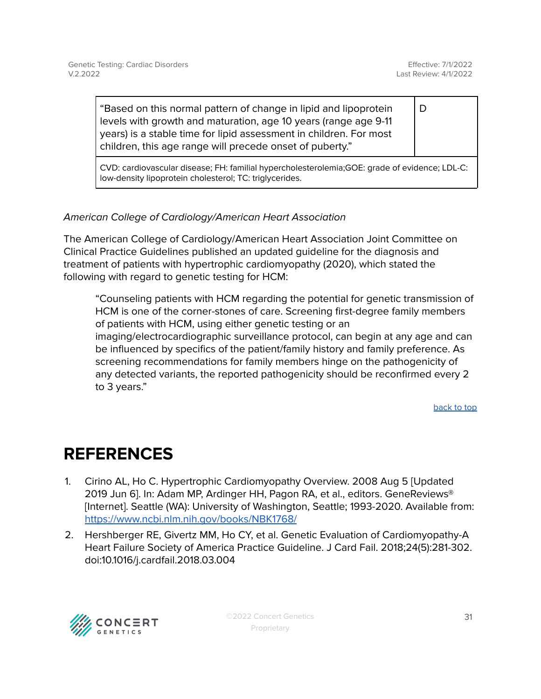D

"Based on this normal pattern of change in lipid and lipoprotein levels with growth and maturation, age 10 years (range age 9-11 years) is a stable time for lipid assessment in children. For most children, this age range will precede onset of puberty."

CVD: cardiovascular disease; FH: familial hypercholesterolemia;GOE: grade of evidence; LDL-C: low-density lipoprotein cholesterol; TC: triglycerides.

## American College of Cardiology/American Heart Association

The American College of Cardiology/American Heart Association Joint Committee on Clinical Practice Guidelines published an updated guideline for the diagnosis and treatment of patients with hypertrophic cardiomyopathy (2020), which stated the following with regard to genetic testing for HCM:

"Counseling patients with HCM regarding the potential for genetic transmission of HCM is one of the corner-stones of care. Screening first-degree family members of patients with HCM, using either genetic testing or an imaging/electrocardiographic surveillance protocol, can begin at any age and can be influenced by specifics of the patient/family history and family preference. As screening recommendations for family members hinge on the pathogenicity of any detected variants, the reported pathogenicity should be reconfirmed every 2 to 3 years."

[back](#page-1-0) to top

# <span id="page-30-0"></span>**REFERENCES**

- 1. Cirino AL, Ho C. Hypertrophic Cardiomyopathy Overview. 2008 Aug 5 [Updated 2019 Jun 6]. In: Adam MP, Ardinger HH, Pagon RA, et al., editors. GeneReviews® [Internet]. Seattle (WA): University of Washington, Seattle; 1993-2020. Available from: <https://www.ncbi.nlm.nih.gov/books/NBK1768/>
- 2. Hershberger RE, Givertz MM, Ho CY, et al. Genetic Evaluation of Cardiomyopathy-A Heart Failure Society of America Practice Guideline. J Card Fail. 2018;24(5):281-302. doi:10.1016/j.cardfail.2018.03.004

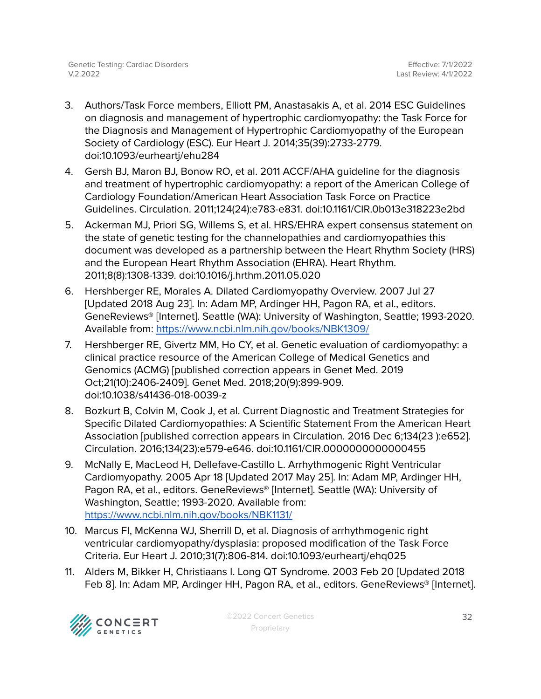- 3. Authors/Task Force members, Elliott PM, Anastasakis A, et al. 2014 ESC Guidelines on diagnosis and management of hypertrophic cardiomyopathy: the Task Force for the Diagnosis and Management of Hypertrophic Cardiomyopathy of the European Society of Cardiology (ESC). Eur Heart J. 2014;35(39):2733-2779. doi:10.1093/eurheartj/ehu284
- 4. Gersh BJ, Maron BJ, Bonow RO, et al. 2011 ACCF/AHA guideline for the diagnosis and treatment of hypertrophic cardiomyopathy: a report of the American College of Cardiology Foundation/American Heart Association Task Force on Practice Guidelines. Circulation. 2011;124(24):e783-e831. doi:10.1161/CIR.0b013e318223e2bd
- 5. Ackerman MJ, Priori SG, Willems S, et al. HRS/EHRA expert consensus statement on the state of genetic testing for the channelopathies and cardiomyopathies this document was developed as a partnership between the Heart Rhythm Society (HRS) and the European Heart Rhythm Association (EHRA). Heart Rhythm. 2011;8(8):1308-1339. doi:10.1016/j.hrthm.2011.05.020
- 6. Hershberger RE, Morales A. Dilated Cardiomyopathy Overview. 2007 Jul 27 [Updated 2018 Aug 23]. In: Adam MP, Ardinger HH, Pagon RA, et al., editors. GeneReviews® [Internet]. Seattle (WA): University of Washington, Seattle; 1993-2020. Available from: <https://www.ncbi.nlm.nih.gov/books/NBK1309/>
- 7. Hershberger RE, Givertz MM, Ho CY, et al. Genetic evaluation of cardiomyopathy: a clinical practice resource of the American College of Medical Genetics and Genomics (ACMG) [published correction appears in Genet Med. 2019 Oct;21(10):2406-2409]. Genet Med. 2018;20(9):899-909. doi:10.1038/s41436-018-0039-z
- 8. Bozkurt B, Colvin M, Cook J, et al. Current Diagnostic and Treatment Strategies for Specific Dilated Cardiomyopathies: A Scientific Statement From the American Heart Association [published correction appears in Circulation. 2016 Dec 6;134(23 ):e652]. Circulation. 2016;134(23):e579-e646. doi:10.1161/CIR.0000000000000455
- 9. McNally E, MacLeod H, Dellefave-Castillo L. Arrhythmogenic Right Ventricular Cardiomyopathy. 2005 Apr 18 [Updated 2017 May 25]. In: Adam MP, Ardinger HH, Pagon RA, et al., editors. GeneReviews® [Internet]. Seattle (WA): University of Washington, Seattle; 1993-2020. Available from: <https://www.ncbi.nlm.nih.gov/books/NBK1131/>
- 10. Marcus FI, McKenna WJ, Sherrill D, et al. Diagnosis of arrhythmogenic right ventricular cardiomyopathy/dysplasia: proposed modification of the Task Force Criteria. Eur Heart J. 2010;31(7):806-814. doi:10.1093/eurheartj/ehq025
- 11. Alders M, Bikker H, Christiaans I. Long QT Syndrome. 2003 Feb 20 [Updated 2018 Feb 8]. In: Adam MP, Ardinger HH, Pagon RA, et al., editors. GeneReviews® [Internet].

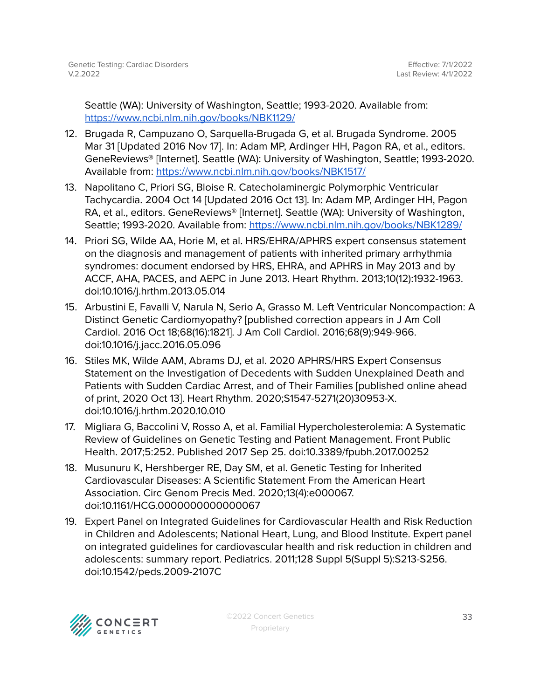Seattle (WA): University of Washington, Seattle; 1993-2020. Available from: <https://www.ncbi.nlm.nih.gov/books/NBK1129/>

- 12. Brugada R, Campuzano O, Sarquella-Brugada G, et al. Brugada Syndrome. 2005 Mar 31 [Updated 2016 Nov 17]. In: Adam MP, Ardinger HH, Pagon RA, et al., editors. GeneReviews® [Internet]. Seattle (WA): University of Washington, Seattle; 1993-2020. Available from: <https://www.ncbi.nlm.nih.gov/books/NBK1517/>
- 13. Napolitano C, Priori SG, Bloise R. Catecholaminergic Polymorphic Ventricular Tachycardia. 2004 Oct 14 [Updated 2016 Oct 13]. In: Adam MP, Ardinger HH, Pagon RA, et al., editors. GeneReviews® [Internet]. Seattle (WA): University of Washington, Seattle; 1993-2020. Available from: <https://www.ncbi.nlm.nih.gov/books/NBK1289/>
- 14. Priori SG, Wilde AA, Horie M, et al. HRS/EHRA/APHRS expert consensus statement on the diagnosis and management of patients with inherited primary arrhythmia syndromes: document endorsed by HRS, EHRA, and APHRS in May 2013 and by ACCF, AHA, PACES, and AEPC in June 2013. Heart Rhythm. 2013;10(12):1932-1963. doi:10.1016/j.hrthm.2013.05.014
- 15. Arbustini E, Favalli V, Narula N, Serio A, Grasso M. Left Ventricular Noncompaction: A Distinct Genetic Cardiomyopathy? [published correction appears in J Am Coll Cardiol. 2016 Oct 18;68(16):1821]. J Am Coll Cardiol. 2016;68(9):949-966. doi:10.1016/j.jacc.2016.05.096
- 16. Stiles MK, Wilde AAM, Abrams DJ, et al. 2020 APHRS/HRS Expert Consensus Statement on the Investigation of Decedents with Sudden Unexplained Death and Patients with Sudden Cardiac Arrest, and of Their Families [published online ahead of print, 2020 Oct 13]. Heart Rhythm. 2020;S1547-5271(20)30953-X. doi:10.1016/j.hrthm.2020.10.010
- 17. Migliara G, Baccolini V, Rosso A, et al. Familial Hypercholesterolemia: A Systematic Review of Guidelines on Genetic Testing and Patient Management. Front Public Health. 2017;5:252. Published 2017 Sep 25. doi:10.3389/fpubh.2017.00252
- 18. Musunuru K, Hershberger RE, Day SM, et al. Genetic Testing for Inherited Cardiovascular Diseases: A Scientific Statement From the American Heart Association. Circ Genom Precis Med. 2020;13(4):e000067. doi:10.1161/HCG.0000000000000067
- 19. Expert Panel on Integrated Guidelines for Cardiovascular Health and Risk Reduction in Children and Adolescents; National Heart, Lung, and Blood Institute. Expert panel on integrated guidelines for cardiovascular health and risk reduction in children and adolescents: summary report. Pediatrics. 2011;128 Suppl 5(Suppl 5):S213-S256. doi:10.1542/peds.2009-2107C